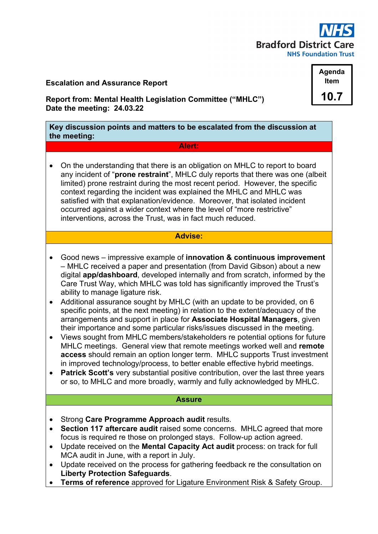

# **Escalation and Assurance Report**

**Report from: Mental Health Legislation Committee ("MHLC") Date the meeting: 24.03.22**

**Key discussion points and matters to be escalated from the discussion at the meeting:**

#### **Alert:**

• On the understanding that there is an obligation on MHLC to report to board any incident of "**prone restraint**", MHLC duly reports that there was one (albeit limited) prone restraint during the most recent period. However, the specific context regarding the incident was explained the MHLC and MHLC was satisfied with that explanation/evidence. Moreover, that isolated incident occurred against a wider context where the level of "more restrictive" interventions, across the Trust, was in fact much reduced.

# **Advise:**

- Good news impressive example of **innovation & continuous improvement** – MHLC received a paper and presentation (from David Gibson) about a new digital **app/dashboard**, developed internally and from scratch, informed by the Care Trust Way, which MHLC was told has significantly improved the Trust's ability to manage ligature risk.
- Additional assurance sought by MHLC (with an update to be provided, on 6 specific points, at the next meeting) in relation to the extent/adequacy of the arrangements and support in place for **Associate Hospital Managers**, given their importance and some particular risks/issues discussed in the meeting.
- Views sought from MHLC members/stakeholders re potential options for future MHLC meetings. General view that remote meetings worked well and **remote access** should remain an option longer term. MHLC supports Trust investment in improved technology/process, to better enable effective hybrid meetings.
- **Patrick Scott's** very substantial positive contribution, over the last three years or so, to MHLC and more broadly, warmly and fully acknowledged by MHLC.

#### **Assure**

- Strong **Care Programme Approach audit** results.
- **Section 117 aftercare audit** raised some concerns. MHLC agreed that more focus is required re those on prolonged stays. Follow-up action agreed.
- Update received on the **Mental Capacity Act audit** process: on track for full MCA audit in June, with a report in July.
- Update received on the process for gathering feedback re the consultation on **Liberty Protection Safeguards**.
- **Terms of reference** approved for Ligature Environment Risk & Safety Group.

**Agenda Item 10.7**